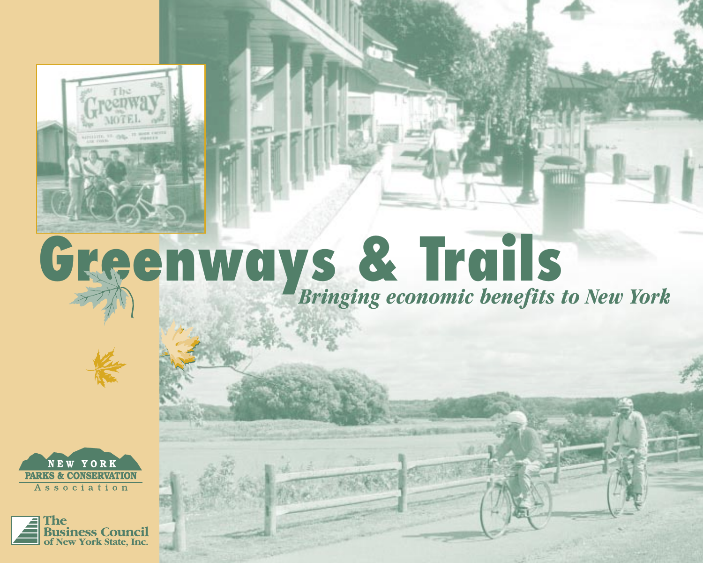

# **Greenways & Trails** *Bringing economic benefits to New York*



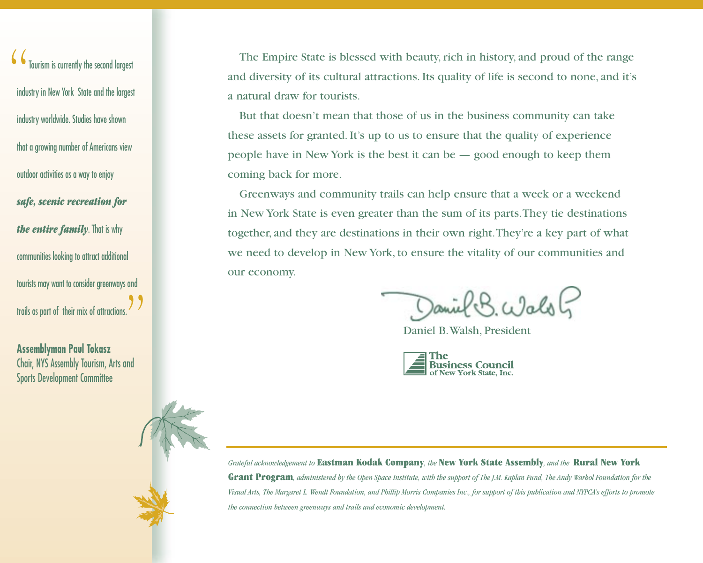Tourism is currently the second largest industry in New York State and the largest industry worldwide. Studies have shown that a growing number of Americans view outdoor activities as a way to enjoy *safe, scenic recreation for the entire family*. That is why communities looking to attract additional tourists may want to consider greenways and trails as part of their mix of attractions. ""

**Assemblyman Paul Tokasz** Chair, NYS Assembly Tourism, Arts and Sports Development Committee

The Empire State is blessed with beauty, rich in history, and proud of the range and diversity of its cultural attractions. Its quality of life is second to none, and it's a natural draw for tourists.

But that doesn't mean that those of us in the business community can take these assets for granted. It's up to us to ensure that the quality of experience people have in New York is the best it can be — good enough to keep them coming back for more.

Greenways and community trails can help ensure that a week or a weekend in New York State is even greater than the sum of its parts.They tie destinations together, and they are destinations in their own right.They're a key part of what we need to develop in New York, to ensure the vitality of our communities and our economy.

Daniel B. Walsh

Daniel B.Walsh, President



*Grateful acknowledgement to* **Eastman Kodak Company***, the* **New York State Assembly***, and the* **Rural New York Grant Program***, administered by the Open Space Institute, with the support of The J.M. Kaplan Fund, The Andy Warhol Foundation for the Visual Arts, The Margaret L. Wendt Foundation, and Phillip Morris Companies Inc., for support of this publication and NYPCA's efforts to promote the connection between greenways and trails and economic development.*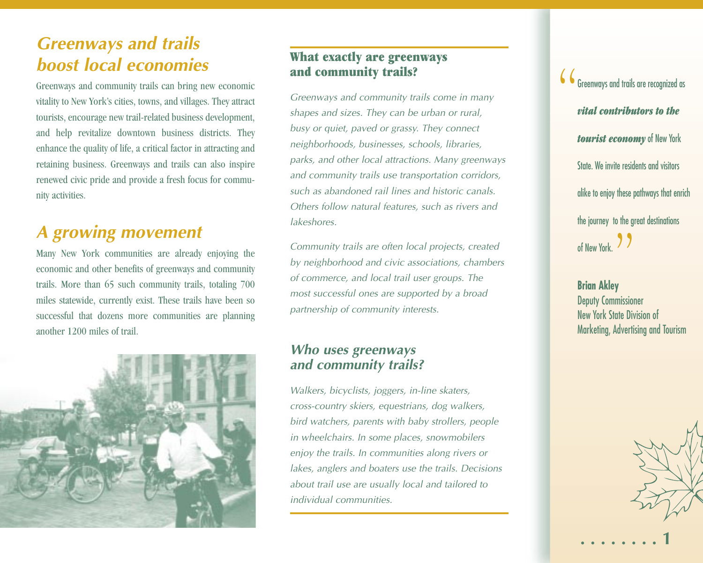# *Greenways and trails boost local economies*

Greenways and community trails can bring new economic vitality to New York's cities, towns, and villages. They attract tourists, encourage new trail-related business development, and help revitalize downtown business districts. They enhance the quality of life, a critical factor in attracting and retaining business. Greenways and trails can also inspire renewed civic pride and provide a fresh focus for community activities.

# *<sup>A</sup> growing movement*

Many New York communities are already enjoying the economic and other benefits of greenways and community trails. More than 65 such community trails, totaling 700 miles statewide, currently exist. These trails have been so successful that dozens more communities are planning another 1200 miles of trail.



### **What exactly are greenways and community trails?**

*Greenways and community trails come in many shapes and sizes. They can be urban or rural, busy or quiet, paved or grassy. They connect neighborhoods, businesses, schools, libraries, parks, and other local attractions. Many greenways and community trails use transportation corridors, such as abandoned rail lines and historic canals. Others follow natural features, such as rivers and lakeshores.* 

*Community trails are often local projects, created by neighborhood and civic associations, chambers of commerce, and local trail user groups. The most successful ones are supported by a broad partnership of community interests.* 

### *Who uses greenways and community trails?*

*Walkers, bicyclists, joggers, in-line skaters, cross-country skiers, equestrians, dog walkers, bird watchers, parents with baby strollers, people in wheelchairs. In some places, snowmobilers enjoy the trails. In communities along rivers or lakes, anglers and boaters use the trails. Decisions about trail use are usually local and tailored to individual communities.*

 $\mathbf{\mathcal{C}}$   $\mathbf{\mathcal{C}}$  Greenways and trails are recognized as *vital contributors to the tourist economy* of New York State. We invite residents and visitors alike to enjoy these pathways that enrich the journey to the great destinations of New York. 99

> **Brian Akley** Deputy Commissioner New York State Division of Marketing, Advertising and Tourism



**. . . . . . . . 1**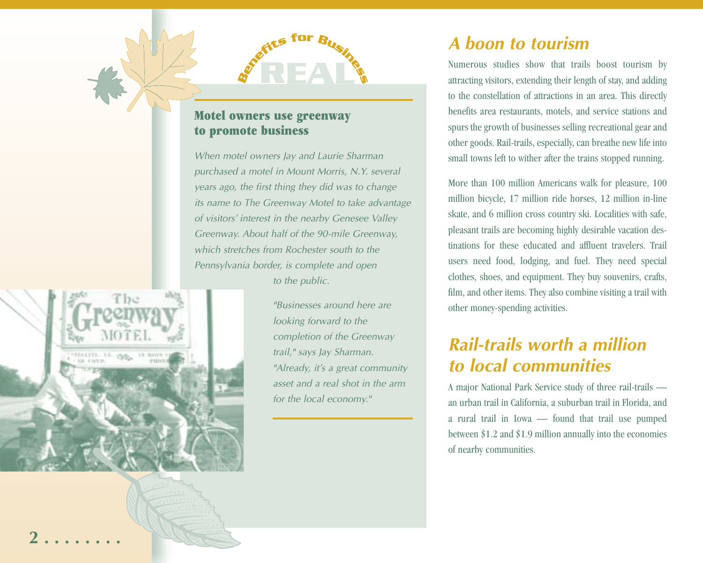

### **Motel owners use greenway to promote business**

*When motel owners Jay and Laurie Sharman purchased a motel in Mount Morris, N.Y. several years ago, the first thing they did was to change its name to The Greenway Motel to take advantage of visitors' interest in the nearby Genesee Valley Greenway. About half of the 90-mile Greenway, which stretches from Rochester south to the Pennsylvania border, is complete and open* 

*to the public.*



*"Businesses around here are looking forward to the completion of the Greenway trail," says Jay Sharman. "Already, it's a great community asset and a real shot in the arm for the local economy."*

# *A boon to tourism*

Numerous studies show that trails boost tourism by attracting visitors, extending their length of stay, and adding to the constellation of attractions in an area. This directly benefits area restaurants, motels, and service stations and spurs the growth of businesses selling recreational gear and other goods. Rail-trails, especially, can breathe new life into small towns left to wither after the trains stopped running.

More than 100 million Americans walk for pleasure, 100 million bicycle, 17 million ride horses, 12 million in-line skate, and 6 million cross country ski. Localities with safe, pleasant trails are becoming highly desirable vacation destinations for these educated and affluent travelers. Trail users need food, lodging, and fuel. They need special clothes, shoes, and equipment. They buy souvenirs, crafts, film, and other items. They also combine visiting a trail with other money-spending activities.

# *Rail-trails worth a million to local communities*

A major National Park Service study of three rail-trails an urban trail in California, a suburban trail in Florida, and a rural trail in Iowa — found that trail use pumped between \$1.2 and \$1.9 million annually into the economies of nearby communities.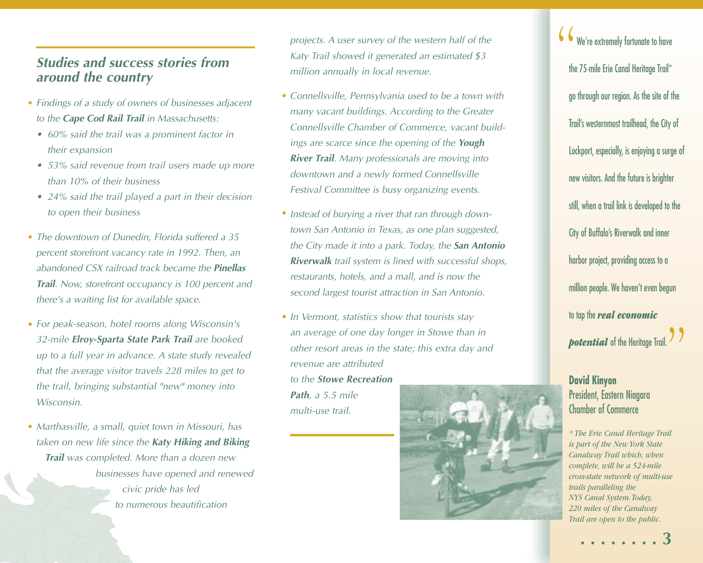### *Studies and success stories from around the country*

- *Findings of a study of owners of businesses adjacent to the Cape Cod Rail Trail in Massachusetts:*
	- *• 60% said the trail was a prominent factor in their expansion*
	- *• 53% said revenue from trail users made up more than 10% of their business*
	- *• 24% said the trail played a part in their decision to open their business*
- *The downtown of Dunedin, Florida suffered a 35 percent storefront vacancy rate in 1992. Then, an abandoned CSX railroad track became the Pinellas Trail. Now, storefront occupancy is 100 percent and there's a waiting list for available space.*
- *For peak-season, hotel rooms along Wisconsin's 32-mile Elroy-Sparta State Park Trail are booked up to a full year in advance. A state study revealed that the average visitor travels 228 miles to get to the trail, bringing substantial "new" money into Wisconsin.*
- *Marthasville, a small, quiet town in Missouri, has taken on new life since the Katy Hiking and Biking Trail was completed. More than a dozen new businesses have opened and renewed civic pride has led to numerous beautification*

*projects. A user survey of the western half of the Katy Trail showed it generated an estimated \$3 million annually in local revenue.* 

- *Connellsville, Pennsylvania used to be a town with many vacant buildings. According to the Greater Connellsville Chamber of Commerce, vacant buildings are scarce since the opening of the Yough River Trail. Many professionals are moving into downtown and a newly formed Connellsville Festival Committee is busy organizing events.*
- *Instead of burying a river that ran through down- town San Antonio in Texas, as one plan suggested, the City made it into a park. Today, the San Antonio Riverwalk trail system is lined with successful shops, restaurants, hotels, and a mall, and is now the second largest tourist attraction in San Antonio.*
- *In Vermont, statistics show that tourists stay*  •*an average of one day longer in Stowe than in other resort areas in the state; this extra day and revenue are attributed to the Stowe Recreation Path, a 5.5 mile multi-use trail.*



 $\mathcal{\mathcal{C}}$  We're extremely fortunate to have the 75-mile Erie Canal Heritage Trail\* go through our region. As the site of the Trail's westernmost trailhead, the City of Lockport, especially, is enjoying a surge of new visitors. And the future is brighter still, when a trail link is developed to the City of Buffalo's Riverwalk and inner harbor project, providing access to a million people. We haven't even begun to tap the *real economic* **potential** of the Heritage Trail. I

### **David Kinyon** President, Eastern Niagara Chamber of Commerce

*\* The Erie Canal Heritage Trail is part of the New York State Canalway Trail which, when complete, will be a 524-mile cross-state network of multi-use trails paralleling the NYS Canal System.Today, 220 miles of the Canalway Trail are open to the public.*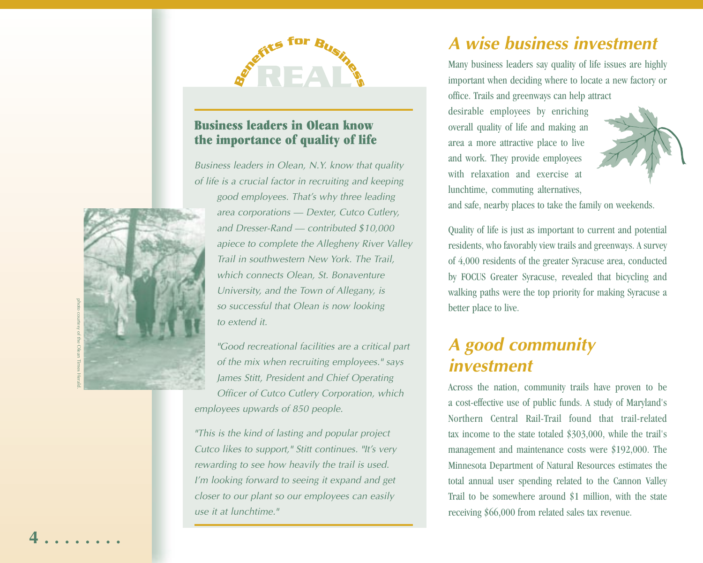

### **Business leaders in Olean know the importance of quality of life**

*Business leaders in Olean, N.Y. know that quality of life is a crucial factor in recruiting and keeping good employees. That's why three leading area corporations — Dexter, Cutco Cutlery,*

*and Dresser-Rand — contributed \$10,000 apiece to complete the Allegheny River Valley Trail in southwestern New York. The Trail, which connects Olean, St. Bonaventure University, and the Town of Allegany, is so successful that Olean is now looking to extend it.*

*"Good recreational facilities are a critical part of the mix when recruiting employees." says James Stitt, President and Chief Operating Officer of Cutco Cutlery Corporation, which employees upwards of 850 people.*

*"This is the kind of lasting and popular project Cutco likes to support," Stitt continues. "It's very rewarding to see how heavily the trail is used. I'm looking forward to seeing it expand and get closer to our plant so our employees can easily use it at lunchtime."*

# *A wise business investment*

Many business leaders say quality of life issues are highly important when deciding where to locate a new factory or office. Trails and greenways can help attract

desirable employees by enriching overall quality of life and making an area a more attractive place to live and work. They provide employees with relaxation and exercise at lunchtime, commuting alternatives,



and safe, nearby places to take the family on weekends.

Quality of life is just as important to current and potential residents, who favorably view trails and greenways. A survey of 4,000 residents of the greater Syracuse area, conducted by FOCUS Greater Syracuse, revealed that bicycling and walking paths were the top priority for making Syracuse a better place to live.

# *<sup>A</sup> good community investment*

Across the nation, community trails have proven to be a cost-effective use of public funds. A study of Maryland's Northern Central Rail-Trail found that trail-related tax income to the state totaled \$303,000, while the trail's management and maintenance costs were \$192,000. The Minnesota Department of Natural Resources estimates the total annual user spending related to the Cannon Valley Trail to be somewhere around \$1 million, with the state receiving \$66,000 from related sales tax revenue.

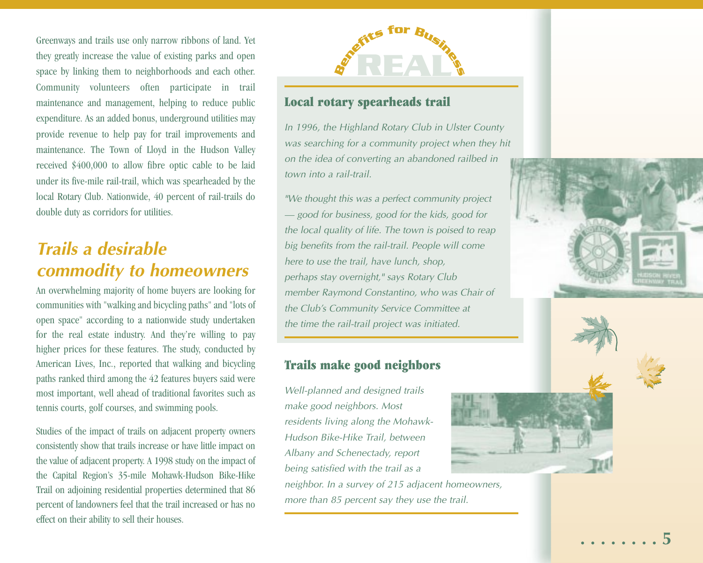Greenways and trails use only narrow ribbons of land. Yet they greatly increase the value of existing parks and open space by linking them to neighborhoods and each other. Community volunteers often participate in trail maintenance and management, helping to reduce public expenditure. As an added bonus, underground utilities may provide revenue to help pay for trail improvements and maintenance. The Town of Lloyd in the Hudson Valley received \$400,000 to allow fibre optic cable to be laid under its five-mile rail-trail, which was spearheaded by the local Rotary Club. Nationwide, 40 percent of rail-trails do double duty as corridors for utilities.

# *Trails a desirable commodity to homeowners*

An overwhelming majority of home buyers are looking for communities with "walking and bicycling paths" and "lots of open space" according to a nationwide study undertaken for the real estate industry. And they're willing to pay higher prices for these features. The study, conducted by American Lives, Inc., reported that walking and bicycling paths ranked third among the 42 features buyers said were most important, well ahead of traditional favorites such as tennis courts, golf courses, and swimming pools.

Studies of the impact of trails on adjacent property owners consistently show that trails increase or have little impact on the value of adjacent property. A 1998 study on the impact of the Capital Region's 35-mile Mohawk-Hudson Bike-Hike Trail on adjoining residential properties determined that 86 percent of landowners feel that the trail increased or has no effect on their ability to sell their houses.



### **Local rotary spearheads trail**

*In 1996, the Highland Rotary Club in Ulster County was searching for a community project when they hit on the idea of converting an abandoned railbed in town into a rail-trail.* 

*"We thought this was a perfect community project — good for business, good for the kids, good for the local quality of life. The town is poised to reap big benefits from the rail-trail. People will come here to use the trail, have lunch, shop, perhaps stay overnight," says Rotary Club member Raymond Constantino, who was Chair of the Club's Community Service Committee at the time the rail-trail project was initiated.*

### **Trails make good neighbors**

*Well-planned and designed trails make good neighbors. Most residents living along the Mohawk-Hudson Bike-Hike Trail, between Albany and Schenectady, report being satisfied with the trail as a*

*neighbor. In a survey of 215 adjacent homeowners, more than 85 percent say they use the trail.* 



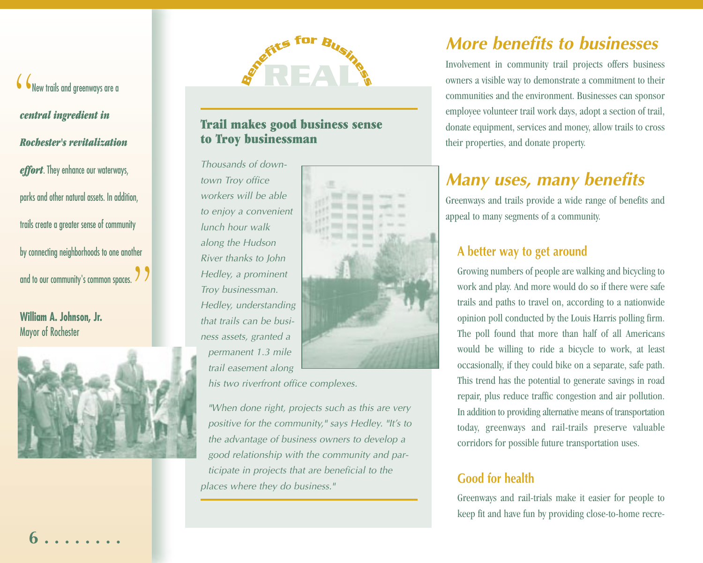New trails and greenways are a *central ingredient in Rochester's revitalization effort*. They enhance our waterways,<br>parks and other natural assets. In addition,<br>trails create a greater sense of community<br>by connecting neighborhoods to one another<br>and to our community's common spaces. Contral ingredient in<br>
Rochester's revitalization<br>
Rochester's revitalization<br>
effort. They enhance our waterways,<br>
Thousands of down-<br>
to Troy businessmann<br>
effort. They enhance our waterways,<br>
Thousands of down-<br>
town Tr

**William A. Johnson, Jr.**





*permanent 1.3 mile trail easement along*



*his two riverfront office complexes.*

*"When done right, projects such as this are very positive for the community," says Hedley. "It's to the advantage of business owners to develop a good relationship with the community and par ticipate in projects that are beneficial to the P*<br> *P*<br> *Packey, a prominent<br>
<i>Froy businessman.*<br> *Pedley, understanding*<br> *phat trails can be business assets, granted a<br>
permanent 1.3 mile<br>
<i>trail easement along*<br> *his two riverfront office complet<br>
"When done right* 

# *More benefits to businesses*

Involvement in community trail projects offers business owners a visible way to demonstrate a commitment to their communities and the environment. Businesses can sponsor employee volunteer trail work days, adopt a section of trail, donate equipment, services and money, allow trails to cross their properties, and donate property.

# *Many uses, many benefits*

Greenways and trails provide a wide range of benefits and appeal to many segments of a community.

### **<sup>A</sup> better way to get around**

Growing numbers of people are walking and bicycling to work and play. And more would do so if there were safe trails and paths to travel on, according to a nationwide opinion poll conducted by the Louis Harris polling firm. The poll found that more than half of all Americans would be willing to ride a bicycle to work, at least occasionally, if they could bike on a separate, safe path. This trend has the potential to generate savings in road repair, plus reduce traffic congestion and air pollution. In addition to providing alternative means of transportation today, greenways and rail-trails preserve valuable corridors for possible future transportation uses.

## **Good for health**

Greenways and rail-trials make it easier for people to keep fit and have fun by providing close-to-home recre-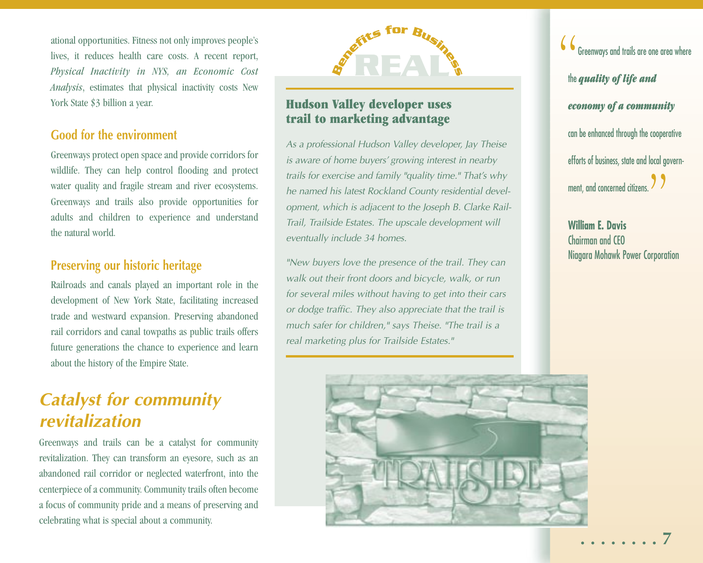ational opportunities. Fitness not only improves people's lives, it reduces health care costs. A recent report, *Physical Inactivity in NYS, an Economic Cost Analysis*, estimates that physical inactivity costs New York State \$3 billion a year.

### **Good for the environment**

Greenways protect open space and provide corridors for wildlife. They can help control flooding and protect water quality and fragile stream and river ecosystems. Greenways and trails also provide opportunities for adults and children to experience and understand the natural world.

### **Preserving our historic heritage**

Railroads and canals played an important role in the development of New York State, facilitating increased trade and westward expansion. Preserving abandoned rail corridors and canal towpaths as public trails offers future generations the chance to experience and learn about the history of the Empire State.

# *Catalyst for community revitalization*

Greenways and trails can be a catalyst for community revitalization. They can transform an eyesore, such as an abandoned rail corridor or neglected waterfront, into the centerpiece of a community. Community trails often become a focus of community pride and a means of preserving and celebrating what is special about a community.



### **Hudson Valley developer uses trail to marketing advantage**

*As a professional Hudson Valley developer, Jay Theise is aware of home buyers' growing interest in nearby trails for exercise and family "quality time." That's why he named his latest Rockland County residential development, which is adjacent to the Joseph B. Clarke Rail-Trail, Trailside Estates. The upscale development will eventually include 34 homes.*

*"New buyers love the presence of the trail. They can walk out their front doors and bicycle, walk, or run for several miles without having to get into their cars or dodge traffic. They also appreciate that the trail is much safer for children," says Theise. "The trail is a real marketing plus for Trailside Estates."*

 $\bigl\{ \boldsymbol{\zeta} \bigr\}$  Greenways and trails are one area where the *quality of life and economy of a community* can be enhanced through the cooperative efforts of business, state and local government, and concerned citizens. "

**William E. Davis** Chairman and CEO Niagara Mohawk Power Corporation

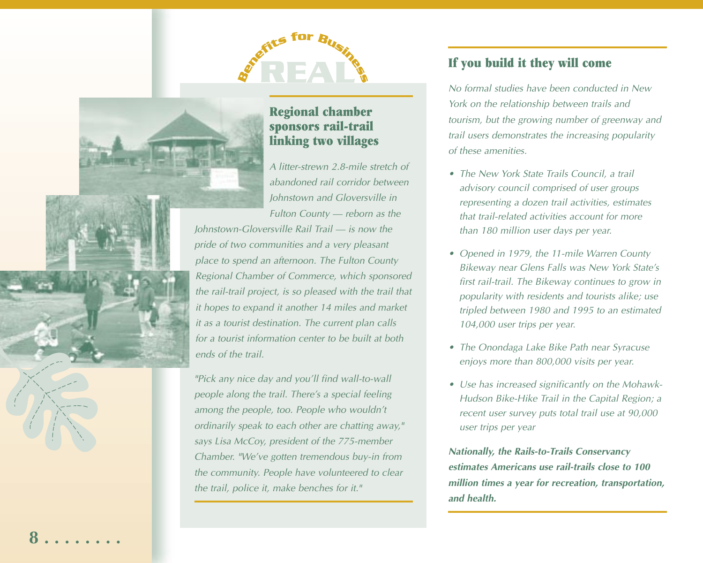

### **Regional chamber sponsors rail-trail linking two villages**

*A litter-strewn 2.8-mile stretch of abandoned rail corridor between Johnstown and Gloversville in Fulton County — reborn as the Johnstown-Gloversville Rail Trail — is now the pride of two communities and a very pleasant place to spend an afternoon. The Fulton County Regional Chamber of Commerce, which sponsored the rail-trail project, is so pleased with the trail that it hopes to expand it another 14 miles and market it as a tourist destination. The current plan calls for a tourist information center to be built at both ends of the trail.*

*"Pick any nice day and you'll find wall-to-wall people along the trail. There's a special feeling among the people, too. People who wouldn't ordinarily speak to each other are chatting away," says Lisa McCoy, president of the 775-member Chamber. "We've gotten tremendous buy-in from the community. People have volunteered to clear the trail, police it, make benches for it."*

### **If you build it they will come**

*No formal studies have been conducted in New York on the relationship between trails and tourism, but the growing number of greenway and trail users demonstrates the increasing popularity of these amenities.* 

- *• The New York State Trails Council, a trail advisory council comprised of user groups representing a dozen trail activities, estimates that trail-related activities account for more than 180 million user days per year.*
- *• Opened in 1979, the 11-mile Warren County Bikeway near Glens Falls was New York State's first rail-trail. The Bikeway continues to grow in popularity with residents and tourists alike; use tripled between 1980 and 1995 to an estimated 104,000 user trips per year.*
- *• The Onondaga Lake Bike Path near Syracuse enjoys more than 800,000 visits per year.*
- *• Use has increased significantly on the Mohawk-Hudson Bike-Hike Trail in the Capital Region; a recent user survey puts total trail use at 90,000 user trips per year*

*Nationally, the Rails-to-Trails Conservancy estimates Americans use rail-trails close to 100 million times a year for recreation, transportation, and health.*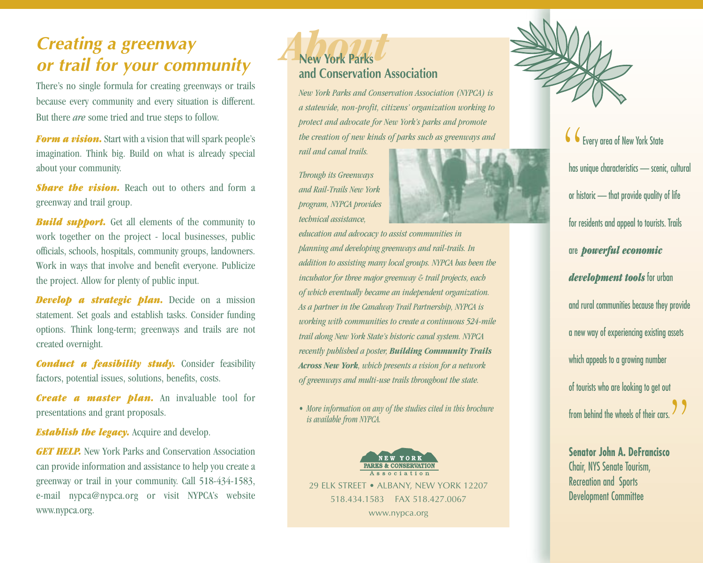# *Creating a greenway or trail for your community*

There's no single formula for creating greenways or trails because every community and every situation is different. But there *are* some tried and true steps to follow.

*Form a vision.* Start with a vision that will spark people's imagination. Think big. Build on what is already special about your community.

*Share the vision.* Reach out to others and form a greenway and trail group.

*Build support.* Get all elements of the community to work together on the project - local businesses, public officials, schools, hospitals, community groups, landowners. Work in ways that involve and benefit everyone. Publicize the project. Allow for plenty of public input.

*Develop a strategic plan.* Decide on a mission statement. Set goals and establish tasks. Consider funding options. Think long-term; greenways and trails are not created overnight.

*Conduct a feasibility study.* Consider feasibility factors, potential issues, solutions, benefits, costs.

*Create a master plan.* An invaluable tool for presentations and grant proposals.

*Establish the legacy.* Acquire and develop.

*GET HELP.* New York Parks and Conservation Association can provide information and assistance to help you create a greenway or trail in your community. Call 518-434-1583, e-mail nypca@nypca.org or visit NYPCA's website www.nypca.org.

# **New York Parks and Conservation Association**

*New York Parks and Conservation Association (NYPCA) is a statewide, non-profit, citizens' organization working to protect and advocate for New York's parks and promote the creation of new kinds of parks such as greenways and rail and canal trails.* 

*Through its Greenways and Rail-Trails New York program, NYPCA provides technical assistance,*



*education and advocacy to assist communities in planning and developing greenways and rail-trails. In addition to assisting many local groups. NYPCA has been the incubator for three major greenway & trail projects, each of which eventually became an independent organization. As a partner in the Canalway Trail Partnership, NYPCA is working with communities to create a continuous 524-mile trail along New York State's historic canal system. NYPCA recently published a poster, Building Community Trails Across New York, which presents a vision for a network of greenways and multi-use trails throughout the state.* 

*• More information on any of the studies cited in this brochure is available from NYPCA.* 





CC Every area of New York State has unique characteristics — scenic, cultural or historic — that provide quality of life for residents and appeal to tourists. Trails are *powerful economic development tools* for urban and rural communities because they provide a new way of experiencing existing assets which appeals to a growing number of tourists who are looking to get out from behind the wheels of their cars.  $\Box$ 

**Senator John A. DeFrancisco** Chair, NYS Senate Tourism, Recreation and Sports Development Committee